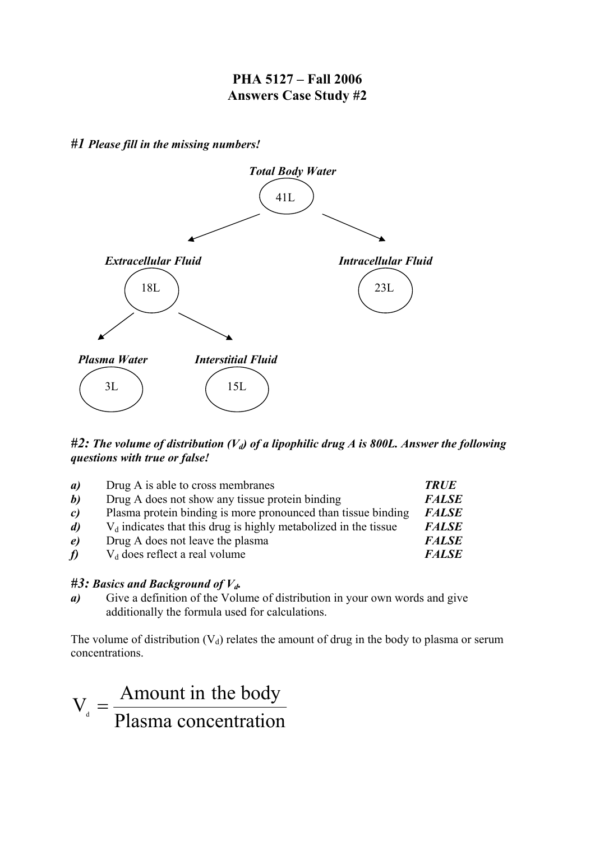## **PHA 5127 – Fall 2006 Answers Case Study #2**

*#1 Please fill in the missing numbers!*



## #2: The volume of distribution (V<sub>d</sub>) of a lipophilic drug A is 800L. Answer the following *questions with true or false!*

| a)               | Drug A is able to cross membranes                                  | <b>TRUE</b>  |
|------------------|--------------------------------------------------------------------|--------------|
| b)               | Drug A does not show any tissue protein binding                    | <b>FALSE</b> |
| $\mathfrak{c}$   | Plasma protein binding is more pronounced than tissue binding      | <b>FALSE</b> |
| $\mathbf{d}$     | $V_d$ indicates that this drug is highly metabolized in the tissue | <b>FALSE</b> |
| $\boldsymbol{e}$ | Drug A does not leave the plasma                                   | <b>FALSE</b> |
| f)               | $V_d$ does reflect a real volume                                   | <b>FALSE</b> |

## *#3: Basics and Background of Vd.*

*a)* Give a definition of the Volume of distribution in your own words and give additionally the formula used for calculations.

The volume of distribution  $(V_d)$  relates the amount of drug in the body to plasma or serum concentrations.